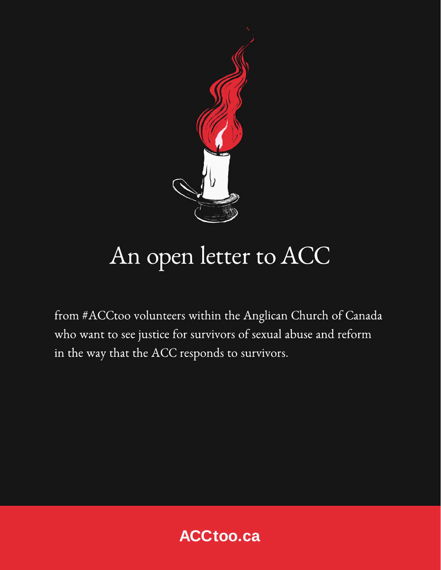

## An open letter to ACC

from #ACCtoo volunteers within the Anglican Church of Canada who want to see justice for survivors of sexual abuse and reform in the way that the ACC responds to survivors.

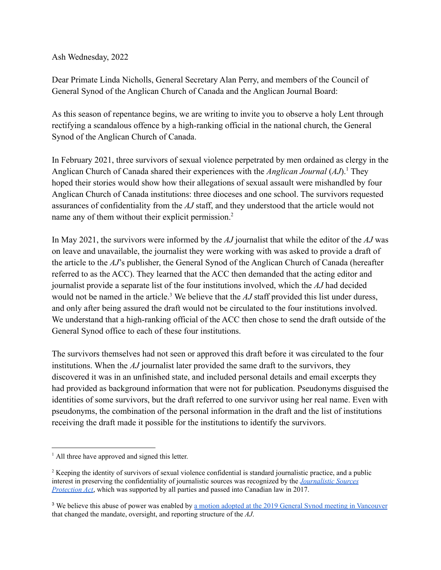Ash Wednesday, 2022

Dear Primate Linda Nicholls, General Secretary Alan Perry, and members of the Council of General Synod of the Anglican Church of Canada and the Anglican Journal Board:

As this season of repentance begins, we are writing to invite you to observe a holy Lent through rectifying a scandalous offence by a high-ranking official in the national church, the General Synod of the Anglican Church of Canada.

In February 2021, three survivors of sexual violence perpetrated by men ordained as clergy in the Anglican Church of Canada shared their experiences with the *Anglican Journal* (*AJ*).<sup>1</sup> They hoped their stories would show how their allegations of sexual assault were mishandled by four Anglican Church of Canada institutions: three dioceses and one school. The survivors requested assurances of confidentiality from the *AJ* staff, and they understood that the article would not name any of them without their explicit permission.<sup>2</sup>

In May 2021, the survivors were informed by the *AJ* journalist that while the editor of the *AJ* was on leave and unavailable, the journalist they were working with was asked to provide a draft of the article to the *AJ*'s publisher, the General Synod of the Anglican Church of Canada (hereafter referred to as the ACC). They learned that the ACC then demanded that the acting editor and journalist provide a separate list of the four institutions involved, which the *AJ* had decided would not be named in the article.<sup>3</sup> We believe that the  $AJ$  staff provided this list under duress, and only after being assured the draft would not be circulated to the four institutions involved. We understand that a high-ranking official of the ACC then chose to send the draft outside of the General Synod office to each of these four institutions.

The survivors themselves had not seen or approved this draft before it was circulated to the four institutions. When the *AJ* journalist later provided the same draft to the survivors, they discovered it was in an unfinished state, and included personal details and email excerpts they had provided as background information that were not for publication. Pseudonyms disguised the identities of some survivors, but the draft referred to one survivor using her real name. Even with pseudonyms, the combination of the personal information in the draft and the list of institutions receiving the draft made it possible for the institutions to identify the survivors.

<sup>&</sup>lt;sup>1</sup> All three have approved and signed this letter.

<sup>&</sup>lt;sup>2</sup> Keeping the identity of survivors of sexual violence confidential is standard journalistic practice, and a public interest in preserving the confidentiality of journalistic sources was recognized by the *[Journalistic](https://laws-lois.justice.gc.ca/eng/annualstatutes/2017_22/FullText.html) Sources [Protection](https://laws-lois.justice.gc.ca/eng/annualstatutes/2017_22/FullText.html) Act*, which was supported by all parties and passed into Canadian law in 2017.

<sup>&</sup>lt;sup>3</sup> We believe this abuse of power was enabled by <u>a motion adopted at the 2019 General Synod meeting in [Vancouver](https://gs2019.anglican.ca/cc/resolutions/a090/)</u> that changed the mandate, oversight, and reporting structure of the *AJ*.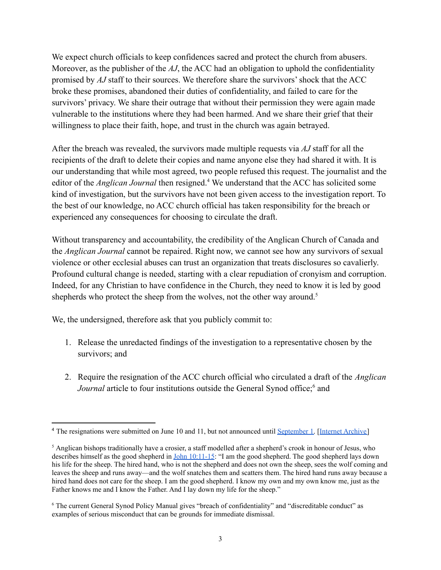We expect church officials to keep confidences sacred and protect the church from abusers. Moreover, as the publisher of the *AJ*, the ACC had an obligation to uphold the confidentiality promised by *AJ* staff to their sources. We therefore share the survivors' shock that the ACC broke these promises, abandoned their duties of confidentiality, and failed to care for the survivors' privacy. We share their outrage that without their permission they were again made vulnerable to the institutions where they had been harmed. And we share their grief that their willingness to place their faith, hope, and trust in the church was again betrayed.

After the breach was revealed, the survivors made multiple requests via *AJ* staff for all the recipients of the draft to delete their copies and name anyone else they had shared it with. It is our understanding that while most agreed, two people refused this request. The journalist and the editor of the *Anglican Journal* then resigned.<sup>4</sup> We understand that the ACC has solicited some kind of investigation, but the survivors have not been given access to the investigation report. To the best of our knowledge, no ACC church official has taken responsibility for the breach or experienced any consequences for choosing to circulate the draft.

Without transparency and accountability, the credibility of the Anglican Church of Canada and the *Anglican Journal* cannot be repaired. Right now, we cannot see how any survivors of sexual violence or other ecclesial abuses can trust an organization that treats disclosures so cavalierly. Profound cultural change is needed, starting with a clear repudiation of cronyism and corruption. Indeed, for any Christian to have confidence in the Church, they need to know it is led by good shepherds who protect the sheep from the wolves, not the other way around.<sup>5</sup>

We, the undersigned, therefore ask that you publicly commit to:

- 1. Release the unredacted findings of the investigation to a representative chosen by the survivors; and
- 2. Require the resignation of the ACC church official who circulated a draft of the *Anglican Journal* article to four institutions outside the General Synod office;<sup>6</sup> and

<sup>&</sup>lt;sup>4</sup> The resignations were submitted on June 10 and 11, but not announced until [September](https://www.anglicanjournal.com/anglican-journal-loses-editor-writer/) 1. [Internet [Archive\]](https://web.archive.org/web/20211102190155/https://www.anglicanjournal.com/anglican-journal-loses-editor-writer/)

<sup>&</sup>lt;sup>5</sup> Anglican bishops traditionally have a crosier, a staff modelled after a shepherd's crook in honour of Jesus, who describes himself as the good shepherd in John [10:11-15](https://www.biblegateway.com/passage/?search=John+10%3A11-15&version=NRSVA): "I am the good shepherd. The good shepherd lays down his life for the sheep. The hired hand, who is not the shepherd and does not own the sheep, sees the wolf coming and leaves the sheep and runs away—and the wolf snatches them and scatters them. The hired hand runs away because a hired hand does not care for the sheep. I am the good shepherd. I know my own and my own know me, just as the Father knows me and I know the Father. And I lay down my life for the sheep."

<sup>&</sup>lt;sup>6</sup> The current General Synod Policy Manual gives "breach of confidentiality" and "discreditable conduct" as examples of serious misconduct that can be grounds for immediate dismissal.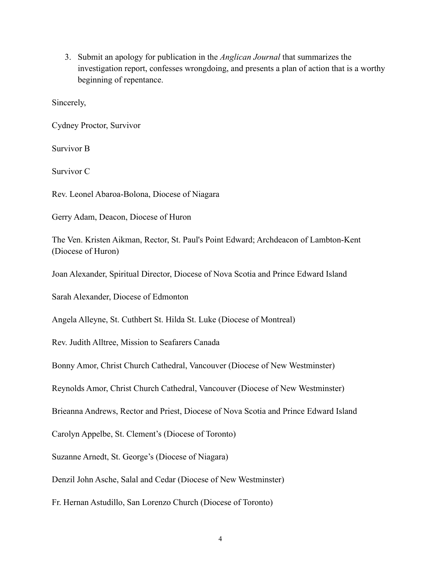3. Submit an apology for publication in the *Anglican Journal* that summarizes the investigation report, confesses wrongdoing, and presents a plan of action that is a worthy beginning of repentance.

Sincerely,

Cydney Proctor, Survivor

Survivor B

Survivor C

Rev. Leonel Abaroa-Bolona, Diocese of Niagara

Gerry Adam, Deacon, Diocese of Huron

The Ven. Kristen Aikman, Rector, St. Paul's Point Edward; Archdeacon of Lambton-Kent (Diocese of Huron)

Joan Alexander, Spiritual Director, Diocese of Nova Scotia and Prince Edward Island

Sarah Alexander, Diocese of Edmonton

Angela Alleyne, St. Cuthbert St. Hilda St. Luke (Diocese of Montreal)

Rev. Judith Alltree, Mission to Seafarers Canada

Bonny Amor, Christ Church Cathedral, Vancouver (Diocese of New Westminster)

Reynolds Amor, Christ Church Cathedral, Vancouver (Diocese of New Westminster)

Brieanna Andrews, Rector and Priest, Diocese of Nova Scotia and Prince Edward Island

Carolyn Appelbe, St. Clement's (Diocese of Toronto)

Suzanne Arnedt, St. George's (Diocese of Niagara)

Denzil John Asche, Salal and Cedar (Diocese of New Westminster)

Fr. Hernan Astudillo, San Lorenzo Church (Diocese of Toronto)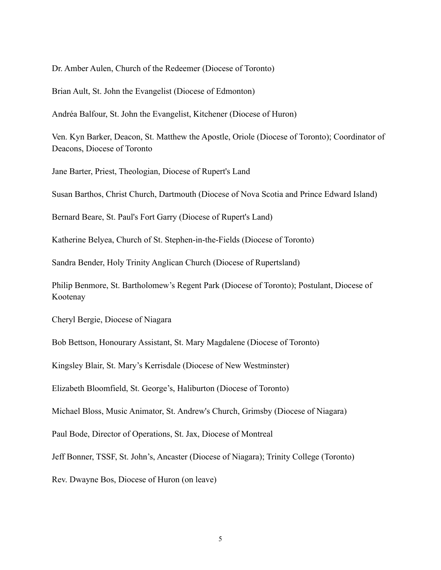Dr. Amber Aulen, Church of the Redeemer (Diocese of Toronto)

Brian Ault, St. John the Evangelist (Diocese of Edmonton)

Andréa Balfour, St. John the Evangelist, Kitchener (Diocese of Huron)

Ven. Kyn Barker, Deacon, St. Matthew the Apostle, Oriole (Diocese of Toronto); Coordinator of Deacons, Diocese of Toronto

Jane Barter, Priest, Theologian, Diocese of Rupert's Land

Susan Barthos, Christ Church, Dartmouth (Diocese of Nova Scotia and Prince Edward Island)

Bernard Beare, St. Paul's Fort Garry (Diocese of Rupert's Land)

Katherine Belyea, Church of St. Stephen-in-the-Fields (Diocese of Toronto)

Sandra Bender, Holy Trinity Anglican Church (Diocese of Rupertsland)

Philip Benmore, St. Bartholomew's Regent Park (Diocese of Toronto); Postulant, Diocese of Kootenay

Cheryl Bergie, Diocese of Niagara

Bob Bettson, Honourary Assistant, St. Mary Magdalene (Diocese of Toronto)

Kingsley Blair, St. Mary's Kerrisdale (Diocese of New Westminster)

Elizabeth Bloomfield, St. George's, Haliburton (Diocese of Toronto)

Michael Bloss, Music Animator, St. Andrew's Church, Grimsby (Diocese of Niagara)

Paul Bode, Director of Operations, St. Jax, Diocese of Montreal

Jeff Bonner, TSSF, St. John's, Ancaster (Diocese of Niagara); Trinity College (Toronto)

Rev. Dwayne Bos, Diocese of Huron (on leave)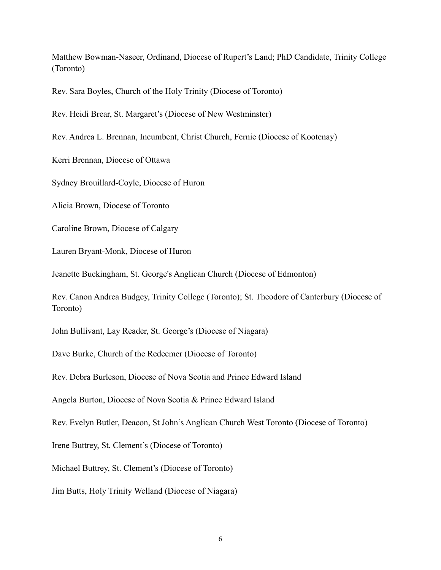Matthew Bowman-Naseer, Ordinand, Diocese of Rupert's Land; PhD Candidate, Trinity College (Toronto)

Rev. Sara Boyles, Church of the Holy Trinity (Diocese of Toronto)

Rev. Heidi Brear, St. Margaret's (Diocese of New Westminster)

Rev. Andrea L. Brennan, Incumbent, Christ Church, Fernie (Diocese of Kootenay)

Kerri Brennan, Diocese of Ottawa

Sydney Brouillard-Coyle, Diocese of Huron

Alicia Brown, Diocese of Toronto

Caroline Brown, Diocese of Calgary

Lauren Bryant-Monk, Diocese of Huron

Jeanette Buckingham, St. George's Anglican Church (Diocese of Edmonton)

Rev. Canon Andrea Budgey, Trinity College (Toronto); St. Theodore of Canterbury (Diocese of Toronto)

John Bullivant, Lay Reader, St. George's (Diocese of Niagara)

Dave Burke, Church of the Redeemer (Diocese of Toronto)

Rev. Debra Burleson, Diocese of Nova Scotia and Prince Edward Island

Angela Burton, Diocese of Nova Scotia & Prince Edward Island

Rev. Evelyn Butler, Deacon, St John's Anglican Church West Toronto (Diocese of Toronto)

Irene Buttrey, St. Clement's (Diocese of Toronto)

Michael Buttrey, St. Clement's (Diocese of Toronto)

Jim Butts, Holy Trinity Welland (Diocese of Niagara)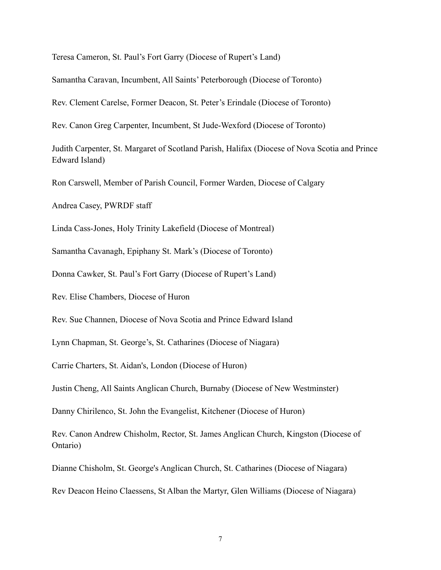Teresa Cameron, St. Paul's Fort Garry (Diocese of Rupert's Land)

Samantha Caravan, Incumbent, All Saints' Peterborough (Diocese of Toronto)

Rev. Clement Carelse, Former Deacon, St. Peter's Erindale (Diocese of Toronto)

Rev. Canon Greg Carpenter, Incumbent, St Jude-Wexford (Diocese of Toronto)

Judith Carpenter, St. Margaret of Scotland Parish, Halifax (Diocese of Nova Scotia and Prince Edward Island)

Ron Carswell, Member of Parish Council, Former Warden, Diocese of Calgary

Andrea Casey, PWRDF staff

Linda Cass-Jones, Holy Trinity Lakefield (Diocese of Montreal)

Samantha Cavanagh, Epiphany St. Mark's (Diocese of Toronto)

Donna Cawker, St. Paul's Fort Garry (Diocese of Rupert's Land)

Rev. Elise Chambers, Diocese of Huron

Rev. Sue Channen, Diocese of Nova Scotia and Prince Edward Island

Lynn Chapman, St. George's, St. Catharines (Diocese of Niagara)

Carrie Charters, St. Aidan's, London (Diocese of Huron)

Justin Cheng, All Saints Anglican Church, Burnaby (Diocese of New Westminster)

Danny Chirilenco, St. John the Evangelist, Kitchener (Diocese of Huron)

Rev. Canon Andrew Chisholm, Rector, St. James Anglican Church, Kingston (Diocese of Ontario)

Dianne Chisholm, St. George's Anglican Church, St. Catharines (Diocese of Niagara)

Rev Deacon Heino Claessens, St Alban the Martyr, Glen Williams (Diocese of Niagara)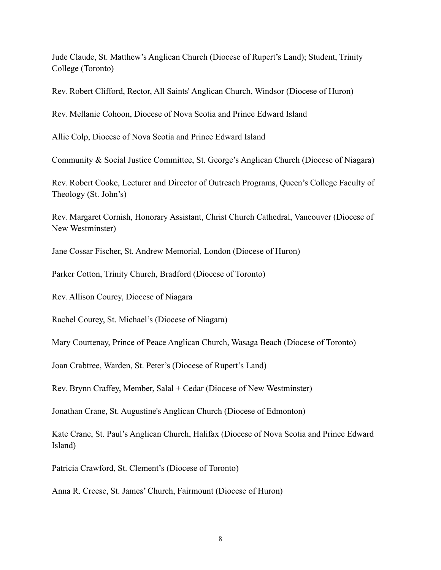Jude Claude, St. Matthew's Anglican Church (Diocese of Rupert's Land); Student, Trinity College (Toronto)

Rev. Robert Clifford, Rector, All Saints' Anglican Church, Windsor (Diocese of Huron)

Rev. Mellanie Cohoon, Diocese of Nova Scotia and Prince Edward Island

Allie Colp, Diocese of Nova Scotia and Prince Edward Island

Community & Social Justice Committee, St. George's Anglican Church (Diocese of Niagara)

Rev. Robert Cooke, Lecturer and Director of Outreach Programs, Queen's College Faculty of Theology (St. John's)

Rev. Margaret Cornish, Honorary Assistant, Christ Church Cathedral, Vancouver (Diocese of New Westminster)

Jane Cossar Fischer, St. Andrew Memorial, London (Diocese of Huron)

Parker Cotton, Trinity Church, Bradford (Diocese of Toronto)

Rev. Allison Courey, Diocese of Niagara

Rachel Courey, St. Michael's (Diocese of Niagara)

Mary Courtenay, Prince of Peace Anglican Church, Wasaga Beach (Diocese of Toronto)

Joan Crabtree, Warden, St. Peter's (Diocese of Rupert's Land)

Rev. Brynn Craffey, Member, Salal + Cedar (Diocese of New Westminster)

Jonathan Crane, St. Augustine's Anglican Church (Diocese of Edmonton)

Kate Crane, St. Paul's Anglican Church, Halifax (Diocese of Nova Scotia and Prince Edward Island)

Patricia Crawford, St. Clement's (Diocese of Toronto)

Anna R. Creese, St. James' Church, Fairmount (Diocese of Huron)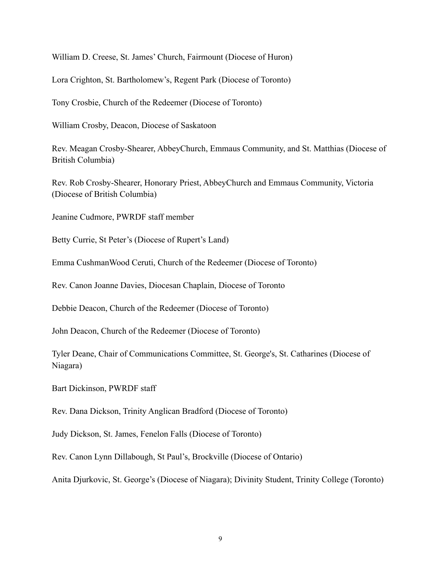William D. Creese, St. James' Church, Fairmount (Diocese of Huron)

Lora Crighton, St. Bartholomew's, Regent Park (Diocese of Toronto)

Tony Crosbie, Church of the Redeemer (Diocese of Toronto)

William Crosby, Deacon, Diocese of Saskatoon

Rev. Meagan Crosby-Shearer, AbbeyChurch, Emmaus Community, and St. Matthias (Diocese of British Columbia)

Rev. Rob Crosby-Shearer, Honorary Priest, AbbeyChurch and Emmaus Community, Victoria (Diocese of British Columbia)

Jeanine Cudmore, PWRDF staff member

Betty Currie, St Peter's (Diocese of Rupert's Land)

Emma CushmanWood Ceruti, Church of the Redeemer (Diocese of Toronto)

Rev. Canon Joanne Davies, Diocesan Chaplain, Diocese of Toronto

Debbie Deacon, Church of the Redeemer (Diocese of Toronto)

John Deacon, Church of the Redeemer (Diocese of Toronto)

Tyler Deane, Chair of Communications Committee, St. George's, St. Catharines (Diocese of Niagara)

Bart Dickinson, PWRDF staff

Rev. Dana Dickson, Trinity Anglican Bradford (Diocese of Toronto)

Judy Dickson, St. James, Fenelon Falls (Diocese of Toronto)

Rev. Canon Lynn Dillabough, St Paul's, Brockville (Diocese of Ontario)

Anita Djurkovic, St. George's (Diocese of Niagara); Divinity Student, Trinity College (Toronto)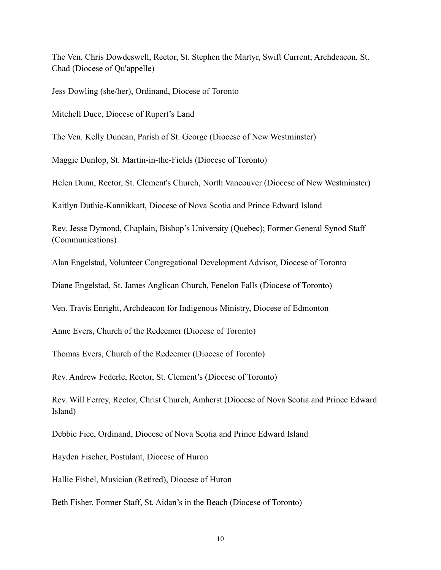The Ven. Chris Dowdeswell, Rector, St. Stephen the Martyr, Swift Current; Archdeacon, St. Chad (Diocese of Qu'appelle)

Jess Dowling (she/her), Ordinand, Diocese of Toronto

Mitchell Duce, Diocese of Rupert's Land

The Ven. Kelly Duncan, Parish of St. George (Diocese of New Westminster)

Maggie Dunlop, St. Martin-in-the-Fields (Diocese of Toronto)

Helen Dunn, Rector, St. Clement's Church, North Vancouver (Diocese of New Westminster)

Kaitlyn Duthie-Kannikkatt, Diocese of Nova Scotia and Prince Edward Island

Rev. Jesse Dymond, Chaplain, Bishop's University (Quebec); Former General Synod Staff (Communications)

Alan Engelstad, Volunteer Congregational Development Advisor, Diocese of Toronto

Diane Engelstad, St. James Anglican Church, Fenelon Falls (Diocese of Toronto)

Ven. Travis Enright, Archdeacon for Indigenous Ministry, Diocese of Edmonton

Anne Evers, Church of the Redeemer (Diocese of Toronto)

Thomas Evers, Church of the Redeemer (Diocese of Toronto)

Rev. Andrew Federle, Rector, St. Clement's (Diocese of Toronto)

Rev. Will Ferrey, Rector, Christ Church, Amherst (Diocese of Nova Scotia and Prince Edward Island)

Debbie Fice, Ordinand, Diocese of Nova Scotia and Prince Edward Island

Hayden Fischer, Postulant, Diocese of Huron

Hallie Fishel, Musician (Retired), Diocese of Huron

Beth Fisher, Former Staff, St. Aidan's in the Beach (Diocese of Toronto)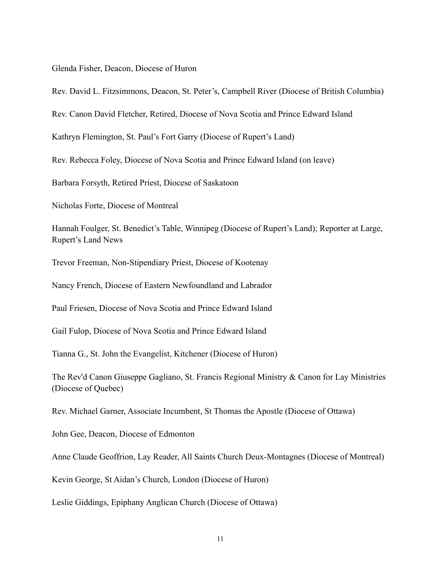Glenda Fisher, Deacon, Diocese of Huron

Rev. David L. Fitzsimmons, Deacon, St. Peter's, Campbell River (Diocese of British Columbia)

Rev. Canon David Fletcher, Retired, Diocese of Nova Scotia and Prince Edward Island

Kathryn Flemington, St. Paul's Fort Garry (Diocese of Rupert's Land)

Rev. Rebecca Foley, Diocese of Nova Scotia and Prince Edward Island (on leave)

Barbara Forsyth, Retired Priest, Diocese of Saskatoon

Nicholas Forte, Diocese of Montreal

Hannah Foulger, St. Benedict's Table, Winnipeg (Diocese of Rupert's Land); Reporter at Large, Rupert's Land News

Trevor Freeman, Non-Stipendiary Priest, Diocese of Kootenay

Nancy French, Diocese of Eastern Newfoundland and Labrador

Paul Friesen, Diocese of Nova Scotia and Prince Edward Island

Gail Fulop, Diocese of Nova Scotia and Prince Edward Island

Tianna G., St. John the Evangelist, Kitchener (Diocese of Huron)

The Rev'd Canon Giuseppe Gagliano, St. Francis Regional Ministry & Canon for Lay Ministries (Diocese of Quebec)

Rev. Michael Garner, Associate Incumbent, St Thomas the Apostle (Diocese of Ottawa)

John Gee, Deacon, Diocese of Edmonton

Anne Claude Geoffrion, Lay Reader, All Saints Church Deux-Montagnes (Diocese of Montreal)

Kevin George, St Aidan's Church, London (Diocese of Huron)

Leslie Giddings, Epiphany Anglican Church (Diocese of Ottawa)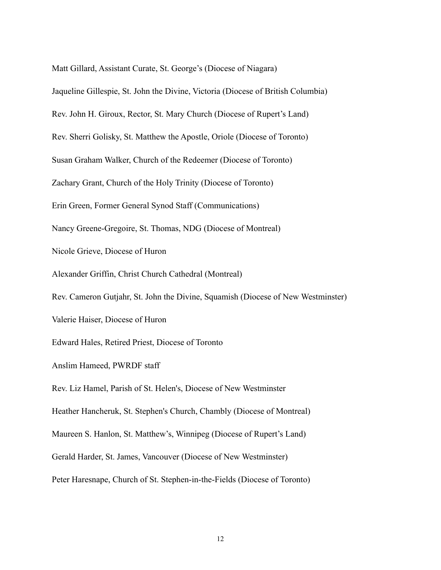Matt Gillard, Assistant Curate, St. George's (Diocese of Niagara) Jaqueline Gillespie, St. John the Divine, Victoria (Diocese of British Columbia) Rev. John H. Giroux, Rector, St. Mary Church (Diocese of Rupert's Land) Rev. Sherri Golisky, St. Matthew the Apostle, Oriole (Diocese of Toronto) Susan Graham Walker, Church of the Redeemer (Diocese of Toronto) Zachary Grant, Church of the Holy Trinity (Diocese of Toronto) Erin Green, Former General Synod Staff (Communications) Nancy Greene-Gregoire, St. Thomas, NDG (Diocese of Montreal) Nicole Grieve, Diocese of Huron Alexander Griffin, Christ Church Cathedral (Montreal) Rev. Cameron Gutjahr, St. John the Divine, Squamish (Diocese of New Westminster) Valerie Haiser, Diocese of Huron Edward Hales, Retired Priest, Diocese of Toronto Anslim Hameed, PWRDF staff Rev. Liz Hamel, Parish of St. Helen's, Diocese of New Westminster Heather Hancheruk, St. Stephen's Church, Chambly (Diocese of Montreal) Maureen S. Hanlon, St. Matthew's, Winnipeg (Diocese of Rupert's Land) Gerald Harder, St. James, Vancouver (Diocese of New Westminster) Peter Haresnape, Church of St. Stephen-in-the-Fields (Diocese of Toronto)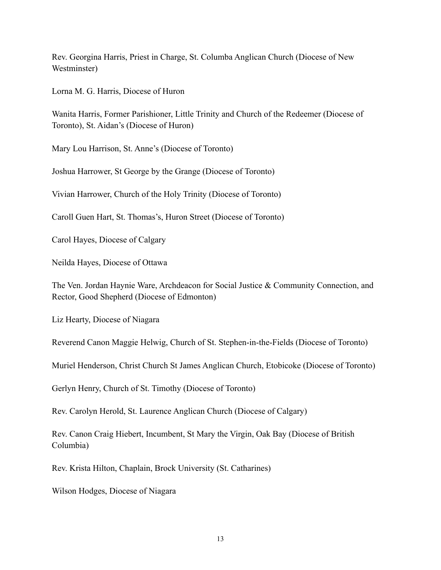Rev. Georgina Harris, Priest in Charge, St. Columba Anglican Church (Diocese of New Westminster)

Lorna M. G. Harris, Diocese of Huron

Wanita Harris, Former Parishioner, Little Trinity and Church of the Redeemer (Diocese of Toronto), St. Aidan's (Diocese of Huron)

Mary Lou Harrison, St. Anne's (Diocese of Toronto)

Joshua Harrower, St George by the Grange (Diocese of Toronto)

Vivian Harrower, Church of the Holy Trinity (Diocese of Toronto)

Caroll Guen Hart, St. Thomas's, Huron Street (Diocese of Toronto)

Carol Hayes, Diocese of Calgary

Neilda Hayes, Diocese of Ottawa

The Ven. Jordan Haynie Ware, Archdeacon for Social Justice & Community Connection, and Rector, Good Shepherd (Diocese of Edmonton)

Liz Hearty, Diocese of Niagara

Reverend Canon Maggie Helwig, Church of St. Stephen-in-the-Fields (Diocese of Toronto)

Muriel Henderson, Christ Church St James Anglican Church, Etobicoke (Diocese of Toronto)

Gerlyn Henry, Church of St. Timothy (Diocese of Toronto)

Rev. Carolyn Herold, St. Laurence Anglican Church (Diocese of Calgary)

Rev. Canon Craig Hiebert, Incumbent, St Mary the Virgin, Oak Bay (Diocese of British Columbia)

Rev. Krista Hilton, Chaplain, Brock University (St. Catharines)

Wilson Hodges, Diocese of Niagara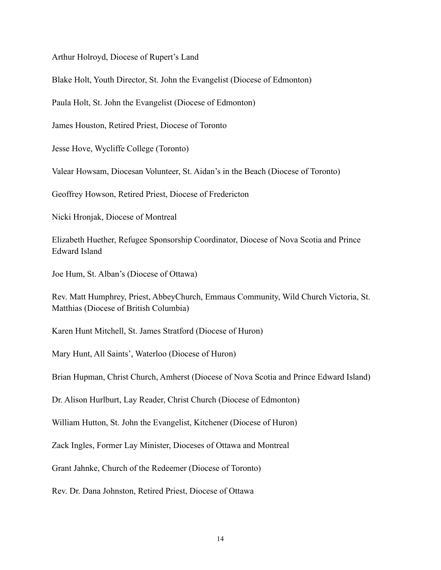Arthur Holroyd, Diocese of Rupert's Land

Blake Holt, Youth Director, St. John the Evangelist (Diocese of Edmonton)

Paula Holt, St. John the Evangelist (Diocese of Edmonton)

James Houston, Retired Priest, Diocese of Toronto

Jesse Hove, Wycliffe College (Toronto)

Valear Howsam, Diocesan Volunteer, St. Aidan's in the Beach (Diocese of Toronto)

Geoffrey Howson, Retired Priest, Diocese of Fredericton

Nicki Hronjak, Diocese of Montreal

Elizabeth Huether, Refugee Sponsorship Coordinator, Diocese of Nova Scotia and Prince Edward Island

Joe Hum, St. Alban's (Diocese of Ottawa)

Rev. Matt Humphrey, Priest, AbbeyChurch, Emmaus Community, Wild Church Victoria, St. Matthias (Diocese of British Columbia)

Karen Hunt Mitchell, St. James Stratford (Diocese of Huron)

Mary Hunt, All Saints', Waterloo (Diocese of Huron)

Brian Hupman, Christ Church, Amherst (Diocese of Nova Scotia and Prince Edward Island)

Dr. Alison Hurlburt, Lay Reader, Christ Church (Diocese of Edmonton)

William Hutton, St. John the Evangelist, Kitchener (Diocese of Huron)

Zack Ingles, Former Lay Minister, Dioceses of Ottawa and Montreal

Grant Jahnke, Church of the Redeemer (Diocese of Toronto)

Rev. Dr. Dana Johnston, Retired Priest, Diocese of Ottawa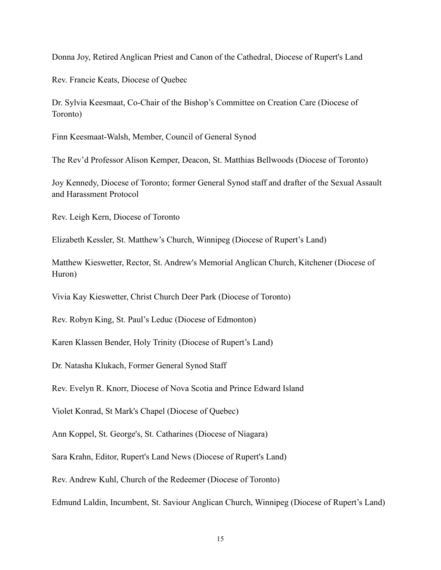Donna Joy, Retired Anglican Priest and Canon of the Cathedral, Diocese of Rupert's Land

Rev. Francie Keats, Diocese of Quebec

Dr. Sylvia Keesmaat, Co-Chair of the Bishop's Committee on Creation Care (Diocese of Toronto)

Finn Keesmaat-Walsh, Member, Council of General Synod

The Rev'd Professor Alison Kemper, Deacon, St. Matthias Bellwoods (Diocese of Toronto)

Joy Kennedy, Diocese of Toronto; former General Synod staff and drafter of the Sexual Assault and Harassment Protocol

Rev. Leigh Kern, Diocese of Toronto

Elizabeth Kessler, St. Matthew's Church, Winnipeg (Diocese of Rupert's Land)

Matthew Kieswetter, Rector, St. Andrew's Memorial Anglican Church, Kitchener (Diocese of Huron)

Vivia Kay Kieswetter, Christ Church Deer Park (Diocese of Toronto)

Rev. Robyn King, St. Paul's Leduc (Diocese of Edmonton)

Karen Klassen Bender, Holy Trinity (Diocese of Rupert's Land)

Dr. Natasha Klukach, Former General Synod Staff

Rev. Evelyn R. Knorr, Diocese of Nova Scotia and Prince Edward Island

Violet Konrad, St Mark's Chapel (Diocese of Quebec)

Ann Koppel, St. George's, St. Catharines (Diocese of Niagara)

Sara Krahn, Editor, Rupert's Land News (Diocese of Rupert's Land)

Rev. Andrew Kuhl, Church of the Redeemer (Diocese of Toronto)

Edmund Laldin, Incumbent, St. Saviour Anglican Church, Winnipeg (Diocese of Rupert's Land)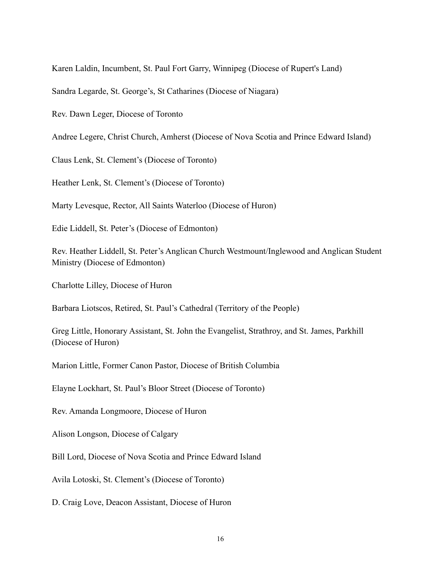Karen Laldin, Incumbent, St. Paul Fort Garry, Winnipeg (Diocese of Rupert's Land)

Sandra Legarde, St. George's, St Catharines (Diocese of Niagara)

Rev. Dawn Leger, Diocese of Toronto

Andree Legere, Christ Church, Amherst (Diocese of Nova Scotia and Prince Edward Island)

Claus Lenk, St. Clement's (Diocese of Toronto)

Heather Lenk, St. Clement's (Diocese of Toronto)

Marty Levesque, Rector, All Saints Waterloo (Diocese of Huron)

Edie Liddell, St. Peter's (Diocese of Edmonton)

Rev. Heather Liddell, St. Peter's Anglican Church Westmount/Inglewood and Anglican Student Ministry (Diocese of Edmonton)

Charlotte Lilley, Diocese of Huron

Barbara Liotscos, Retired, St. Paul's Cathedral (Territory of the People)

Greg Little, Honorary Assistant, St. John the Evangelist, Strathroy, and St. James, Parkhill (Diocese of Huron)

Marion Little, Former Canon Pastor, Diocese of British Columbia

Elayne Lockhart, St. Paul's Bloor Street (Diocese of Toronto)

Rev. Amanda Longmoore, Diocese of Huron

Alison Longson, Diocese of Calgary

Bill Lord, Diocese of Nova Scotia and Prince Edward Island

Avila Lotoski, St. Clement's (Diocese of Toronto)

D. Craig Love, Deacon Assistant, Diocese of Huron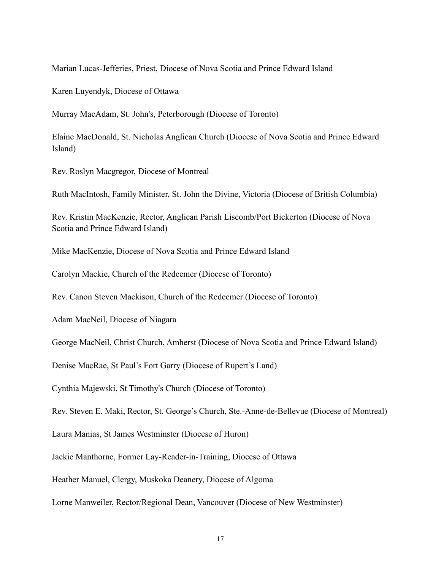Marian Lucas-Jefferies, Priest, Diocese of Nova Scotia and Prince Edward Island

Karen Luyendyk, Diocese of Ottawa

Murray MacAdam, St. John's, Peterborough (Diocese of Toronto)

Elaine MacDonald, St. Nicholas Anglican Church (Diocese of Nova Scotia and Prince Edward Island)

Rev. Roslyn Macgregor, Diocese of Montreal

Ruth MacIntosh, Family Minister, St. John the Divine, Victoria (Diocese of British Columbia)

Rev. Kristin MacKenzie, Rector, Anglican Parish Liscomb/Port Bickerton (Diocese of Nova Scotia and Prince Edward Island)

Mike MacKenzie, Diocese of Nova Scotia and Prince Edward Island

Carolyn Mackie, Church of the Redeemer (Diocese of Toronto)

Rev. Canon Steven Mackison, Church of the Redeemer (Diocese of Toronto)

Adam MacNeil, Diocese of Niagara

George MacNeil, Christ Church, Amherst (Diocese of Nova Scotia and Prince Edward Island)

Denise MacRae, St Paul's Fort Garry (Diocese of Rupert's Land)

Cynthia Majewski, St Timothy's Church (Diocese of Toronto)

Rev. Steven E. Maki, Rector, St. George's Church, Ste.-Anne-de-Bellevue (Diocese of Montreal)

Laura Manias, St James Westminster (Diocese of Huron)

Jackie Manthorne, Former Lay-Reader-in-Training, Diocese of Ottawa

Heather Manuel, Clergy, Muskoka Deanery, Diocese of Algoma

Lorne Manweiler, Rector/Regional Dean, Vancouver (Diocese of New Westminster)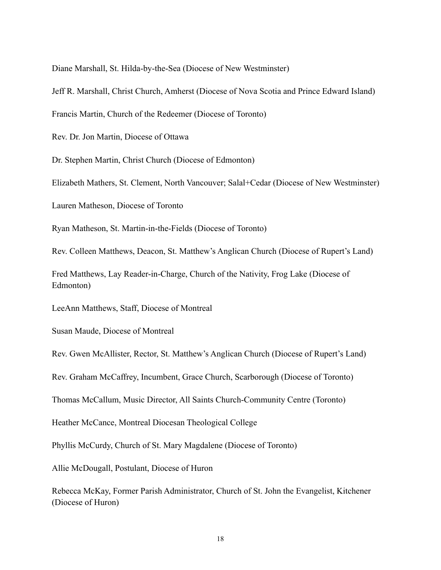Diane Marshall, St. Hilda-by-the-Sea (Diocese of New Westminster)

Jeff R. Marshall, Christ Church, Amherst (Diocese of Nova Scotia and Prince Edward Island)

Francis Martin, Church of the Redeemer (Diocese of Toronto)

Rev. Dr. Jon Martin, Diocese of Ottawa

Dr. Stephen Martin, Christ Church (Diocese of Edmonton)

Elizabeth Mathers, St. Clement, North Vancouver; Salal+Cedar (Diocese of New Westminster)

Lauren Matheson, Diocese of Toronto

Ryan Matheson, St. Martin-in-the-Fields (Diocese of Toronto)

Rev. Colleen Matthews, Deacon, St. Matthew's Anglican Church (Diocese of Rupert's Land)

Fred Matthews, Lay Reader-in-Charge, Church of the Nativity, Frog Lake (Diocese of Edmonton)

LeeAnn Matthews, Staff, Diocese of Montreal

Susan Maude, Diocese of Montreal

Rev. Gwen McAllister, Rector, St. Matthew's Anglican Church (Diocese of Rupert's Land)

Rev. Graham McCaffrey, Incumbent, Grace Church, Scarborough (Diocese of Toronto)

Thomas McCallum, Music Director, All Saints Church-Community Centre (Toronto)

Heather McCance, Montreal Diocesan Theological College

Phyllis McCurdy, Church of St. Mary Magdalene (Diocese of Toronto)

Allie McDougall, Postulant, Diocese of Huron

Rebecca McKay, Former Parish Administrator, Church of St. John the Evangelist, Kitchener (Diocese of Huron)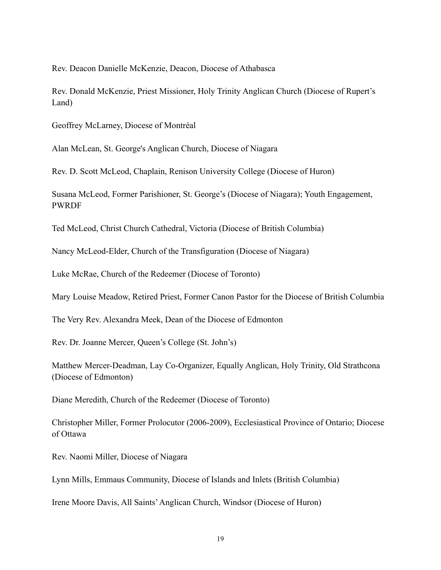Rev. Deacon Danielle McKenzie, Deacon, Diocese of Athabasca

Rev. Donald McKenzie, Priest Missioner, Holy Trinity Anglican Church (Diocese of Rupert's Land)

Geoffrey McLarney, Diocese of Montréal

Alan McLean, St. George's Anglican Church, Diocese of Niagara

Rev. D. Scott McLeod, Chaplain, Renison University College (Diocese of Huron)

Susana McLeod, Former Parishioner, St. George's (Diocese of Niagara); Youth Engagement, PWRDF

Ted McLeod, Christ Church Cathedral, Victoria (Diocese of British Columbia)

Nancy McLeod-Elder, Church of the Transfiguration (Diocese of Niagara)

Luke McRae, Church of the Redeemer (Diocese of Toronto)

Mary Louise Meadow, Retired Priest, Former Canon Pastor for the Diocese of British Columbia

The Very Rev. Alexandra Meek, Dean of the Diocese of Edmonton

Rev. Dr. Joanne Mercer, Queen's College (St. John's)

Matthew Mercer-Deadman, Lay Co-Organizer, Equally Anglican, Holy Trinity, Old Strathcona (Diocese of Edmonton)

Diane Meredith, Church of the Redeemer (Diocese of Toronto)

Christopher Miller, Former Prolocutor (2006-2009), Ecclesiastical Province of Ontario; Diocese of Ottawa

Rev. Naomi Miller, Diocese of Niagara

Lynn Mills, Emmaus Community, Diocese of Islands and Inlets (British Columbia)

Irene Moore Davis, All Saints'Anglican Church, Windsor (Diocese of Huron)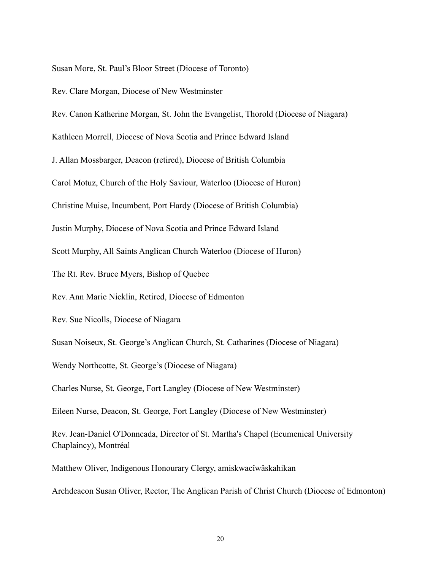Susan More, St. Paul's Bloor Street (Diocese of Toronto)

Rev. Clare Morgan, Diocese of New Westminster

Rev. Canon Katherine Morgan, St. John the Evangelist, Thorold (Diocese of Niagara)

Kathleen Morrell, Diocese of Nova Scotia and Prince Edward Island

J. Allan Mossbarger, Deacon (retired), Diocese of British Columbia

Carol Motuz, Church of the Holy Saviour, Waterloo (Diocese of Huron)

Christine Muise, Incumbent, Port Hardy (Diocese of British Columbia)

Justin Murphy, Diocese of Nova Scotia and Prince Edward Island

Scott Murphy, All Saints Anglican Church Waterloo (Diocese of Huron)

The Rt. Rev. Bruce Myers, Bishop of Quebec

Rev. Ann Marie Nicklin, Retired, Diocese of Edmonton

Rev. Sue Nicolls, Diocese of Niagara

Susan Noiseux, St. George's Anglican Church, St. Catharines (Diocese of Niagara)

Wendy Northcotte, St. George's (Diocese of Niagara)

Charles Nurse, St. George, Fort Langley (Diocese of New Westminster)

Eileen Nurse, Deacon, St. George, Fort Langley (Diocese of New Westminster)

Rev. Jean-Daniel O'Donncada, Director of St. Martha's Chapel (Ecumenical University Chaplaincy), Montréal

Matthew Oliver, Indigenous Honourary Clergy, amiskwacîwâskahikan

Archdeacon Susan Oliver, Rector, The Anglican Parish of Christ Church (Diocese of Edmonton)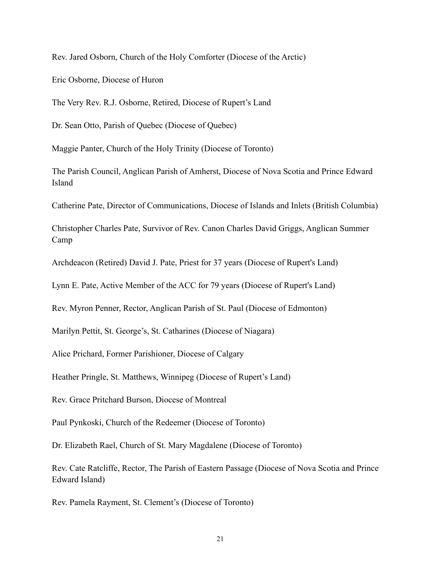Rev. Jared Osborn, Church of the Holy Comforter (Diocese of the Arctic)

Eric Osborne, Diocese of Huron

The Very Rev. R.J. Osborne, Retired, Diocese of Rupert's Land

Dr. Sean Otto, Parish of Quebec (Diocese of Quebec)

Maggie Panter, Church of the Holy Trinity (Diocese of Toronto)

The Parish Council, Anglican Parish of Amherst, Diocese of Nova Scotia and Prince Edward Island

Catherine Pate, Director of Communications, Diocese of Islands and Inlets (British Columbia)

Christopher Charles Pate, Survivor of Rev. Canon Charles David Griggs, Anglican Summer Camp

Archdeacon (Retired) David J. Pate, Priest for 37 years (Diocese of Rupert's Land)

Lynn E. Pate, Active Member of the ACC for 79 years (Diocese of Rupert's Land)

Rev. Myron Penner, Rector, Anglican Parish of St. Paul (Diocese of Edmonton)

Marilyn Pettit, St. George's, St. Catharines (Diocese of Niagara)

Alice Prichard, Former Parishioner, Diocese of Calgary

Heather Pringle, St. Matthews, Winnipeg (Diocese of Rupert's Land)

Rev. Grace Pritchard Burson, Diocese of Montreal

Paul Pynkoski, Church of the Redeemer (Diocese of Toronto)

Dr. Elizabeth Rael, Church of St. Mary Magdalene (Diocese of Toronto)

Rev. Cate Ratcliffe, Rector, The Parish of Eastern Passage (Diocese of Nova Scotia and Prince Edward Island)

Rev. Pamela Rayment, St. Clement's (Diocese of Toronto)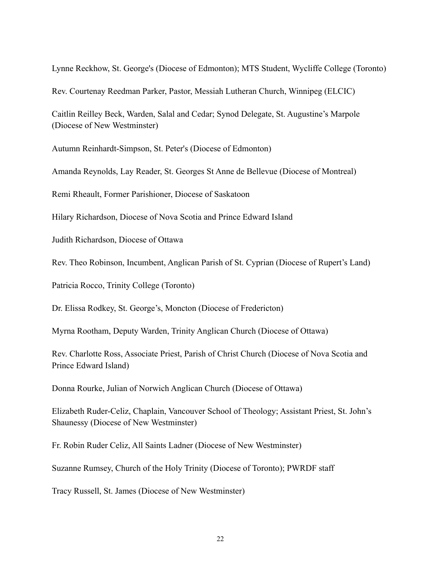Lynne Reckhow, St. George's (Diocese of Edmonton); MTS Student, Wycliffe College (Toronto)

Rev. Courtenay Reedman Parker, Pastor, Messiah Lutheran Church, Winnipeg (ELCIC)

Caitlin Reilley Beck, Warden, Salal and Cedar; Synod Delegate, St. Augustine's Marpole (Diocese of New Westminster)

Autumn Reinhardt-Simpson, St. Peter's (Diocese of Edmonton)

Amanda Reynolds, Lay Reader, St. Georges St Anne de Bellevue (Diocese of Montreal)

Remi Rheault, Former Parishioner, Diocese of Saskatoon

Hilary Richardson, Diocese of Nova Scotia and Prince Edward Island

Judith Richardson, Diocese of Ottawa

Rev. Theo Robinson, Incumbent, Anglican Parish of St. Cyprian (Diocese of Rupert's Land)

Patricia Rocco, Trinity College (Toronto)

Dr. Elissa Rodkey, St. George's, Moncton (Diocese of Fredericton)

Myrna Rootham, Deputy Warden, Trinity Anglican Church (Diocese of Ottawa)

Rev. Charlotte Ross, Associate Priest, Parish of Christ Church (Diocese of Nova Scotia and Prince Edward Island)

Donna Rourke, Julian of Norwich Anglican Church (Diocese of Ottawa)

Elizabeth Ruder-Celiz, Chaplain, Vancouver School of Theology; Assistant Priest, St. John's Shaunessy (Diocese of New Westminster)

Fr. Robin Ruder Celiz, All Saints Ladner (Diocese of New Westminster)

Suzanne Rumsey, Church of the Holy Trinity (Diocese of Toronto); PWRDF staff

Tracy Russell, St. James (Diocese of New Westminster)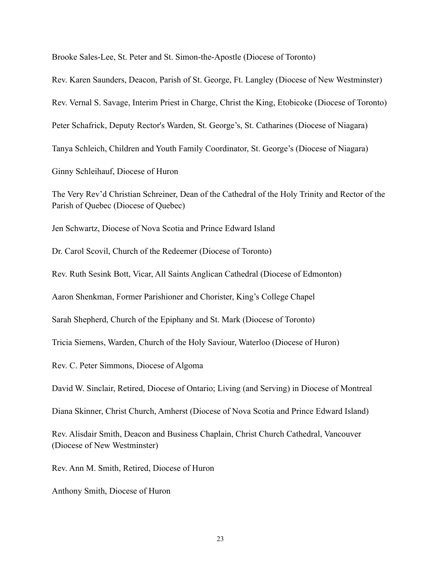Brooke Sales-Lee, St. Peter and St. Simon-the-Apostle (Diocese of Toronto)

Rev. Karen Saunders, Deacon, Parish of St. George, Ft. Langley (Diocese of New Westminster)

Rev. Vernal S. Savage, Interim Priest in Charge, Christ the King, Etobicoke (Diocese of Toronto)

Peter Schafrick, Deputy Rector's Warden, St. George's, St. Catharines (Diocese of Niagara)

Tanya Schleich, Children and Youth Family Coordinator, St. George's (Diocese of Niagara)

Ginny Schleihauf, Diocese of Huron

The Very Rev'd Christian Schreiner, Dean of the Cathedral of the Holy Trinity and Rector of the Parish of Quebec (Diocese of Quebec)

Jen Schwartz, Diocese of Nova Scotia and Prince Edward Island

Dr. Carol Scovil, Church of the Redeemer (Diocese of Toronto)

Rev. Ruth Sesink Bott, Vicar, All Saints Anglican Cathedral (Diocese of Edmonton)

Aaron Shenkman, Former Parishioner and Chorister, King's College Chapel

Sarah Shepherd, Church of the Epiphany and St. Mark (Diocese of Toronto)

Tricia Siemens, Warden, Church of the Holy Saviour, Waterloo (Diocese of Huron)

Rev. C. Peter Simmons, Diocese of Algoma

David W. Sinclair, Retired, Diocese of Ontario; Living (and Serving) in Diocese of Montreal

Diana Skinner, Christ Church, Amherst (Diocese of Nova Scotia and Prince Edward Island)

Rev. Alisdair Smith, Deacon and Business Chaplain, Christ Church Cathedral, Vancouver (Diocese of New Westminster)

Rev. Ann M. Smith, Retired, Diocese of Huron

Anthony Smith, Diocese of Huron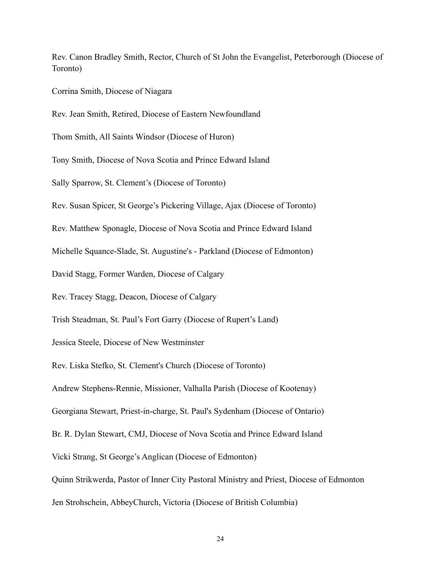Rev. Canon Bradley Smith, Rector, Church of St John the Evangelist, Peterborough (Diocese of Toronto)

Corrina Smith, Diocese of Niagara

Rev. Jean Smith, Retired, Diocese of Eastern Newfoundland Thom Smith, All Saints Windsor (Diocese of Huron) Tony Smith, Diocese of Nova Scotia and Prince Edward Island Sally Sparrow, St. Clement's (Diocese of Toronto) Rev. Susan Spicer, St George's Pickering Village, Ajax (Diocese of Toronto) Rev. Matthew Sponagle, Diocese of Nova Scotia and Prince Edward Island Michelle Squance-Slade, St. Augustine's - Parkland (Diocese of Edmonton) David Stagg, Former Warden, Diocese of Calgary Rev. Tracey Stagg, Deacon, Diocese of Calgary Trish Steadman, St. Paul's Fort Garry (Diocese of Rupert's Land) Jessica Steele, Diocese of New Westminster Rev. Liska Stefko, St. Clement's Church (Diocese of Toronto) Andrew Stephens-Rennie, Missioner, Valhalla Parish (Diocese of Kootenay) Georgiana Stewart, Priest-in-charge, St. Paul's Sydenham (Diocese of Ontario) Br. R. Dylan Stewart, CMJ, Diocese of Nova Scotia and Prince Edward Island Vicki Strang, St George's Anglican (Diocese of Edmonton) Quinn Strikwerda, Pastor of Inner City Pastoral Ministry and Priest, Diocese of Edmonton Jen Strohschein, AbbeyChurch, Victoria (Diocese of British Columbia)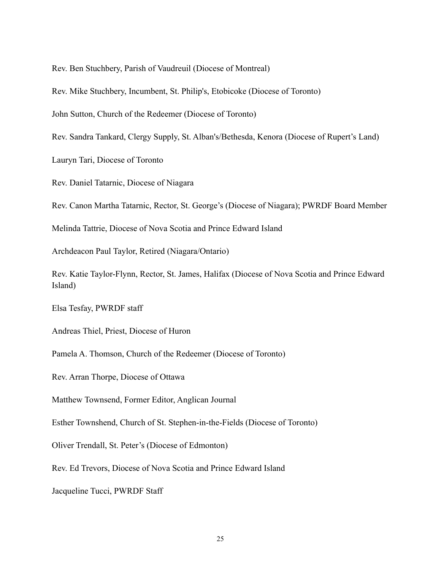Rev. Ben Stuchbery, Parish of Vaudreuil (Diocese of Montreal)

Rev. Mike Stuchbery, Incumbent, St. Philip's, Etobicoke (Diocese of Toronto)

John Sutton, Church of the Redeemer (Diocese of Toronto)

Rev. Sandra Tankard, Clergy Supply, St. Alban's/Bethesda, Kenora (Diocese of Rupert's Land)

Lauryn Tari, Diocese of Toronto

Rev. Daniel Tatarnic, Diocese of Niagara

Rev. Canon Martha Tatarnic, Rector, St. George's (Diocese of Niagara); PWRDF Board Member

Melinda Tattrie, Diocese of Nova Scotia and Prince Edward Island

Archdeacon Paul Taylor, Retired (Niagara/Ontario)

Rev. Katie Taylor-Flynn, Rector, St. James, Halifax (Diocese of Nova Scotia and Prince Edward Island)

Elsa Tesfay, PWRDF staff

Andreas Thiel, Priest, Diocese of Huron

Pamela A. Thomson, Church of the Redeemer (Diocese of Toronto)

Rev. Arran Thorpe, Diocese of Ottawa

Matthew Townsend, Former Editor, Anglican Journal

Esther Townshend, Church of St. Stephen-in-the-Fields (Diocese of Toronto)

Oliver Trendall, St. Peter's (Diocese of Edmonton)

Rev. Ed Trevors, Diocese of Nova Scotia and Prince Edward Island

Jacqueline Tucci, PWRDF Staff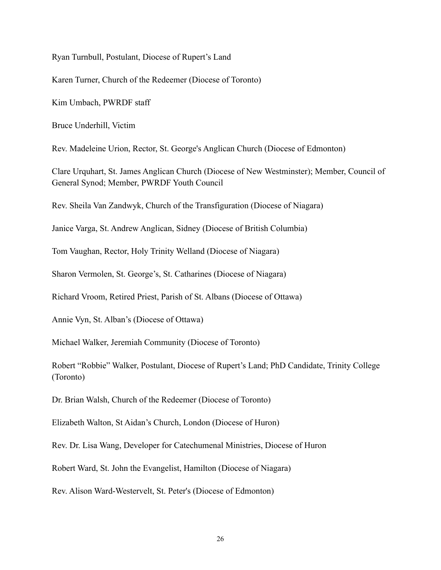Ryan Turnbull, Postulant, Diocese of Rupert's Land

Karen Turner, Church of the Redeemer (Diocese of Toronto)

Kim Umbach, PWRDF staff

Bruce Underhill, Victim

Rev. Madeleine Urion, Rector, St. George's Anglican Church (Diocese of Edmonton)

Clare Urquhart, St. James Anglican Church (Diocese of New Westminster); Member, Council of General Synod; Member, PWRDF Youth Council

Rev. Sheila Van Zandwyk, Church of the Transfiguration (Diocese of Niagara)

Janice Varga, St. Andrew Anglican, Sidney (Diocese of British Columbia)

Tom Vaughan, Rector, Holy Trinity Welland (Diocese of Niagara)

Sharon Vermolen, St. George's, St. Catharines (Diocese of Niagara)

Richard Vroom, Retired Priest, Parish of St. Albans (Diocese of Ottawa)

Annie Vyn, St. Alban's (Diocese of Ottawa)

Michael Walker, Jeremiah Community (Diocese of Toronto)

Robert "Robbie" Walker, Postulant, Diocese of Rupert's Land; PhD Candidate, Trinity College (Toronto)

Dr. Brian Walsh, Church of the Redeemer (Diocese of Toronto)

Elizabeth Walton, St Aidan's Church, London (Diocese of Huron)

Rev. Dr. Lisa Wang, Developer for Catechumenal Ministries, Diocese of Huron

Robert Ward, St. John the Evangelist, Hamilton (Diocese of Niagara)

Rev. Alison Ward-Westervelt, St. Peter's (Diocese of Edmonton)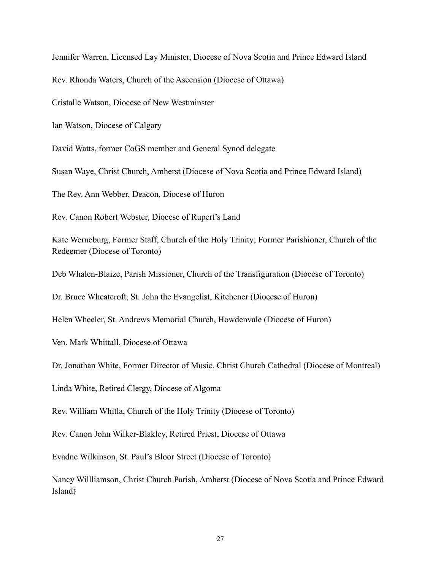Jennifer Warren, Licensed Lay Minister, Diocese of Nova Scotia and Prince Edward Island

Rev. Rhonda Waters, Church of the Ascension (Diocese of Ottawa)

Cristalle Watson, Diocese of New Westminster

Ian Watson, Diocese of Calgary

David Watts, former CoGS member and General Synod delegate

Susan Waye, Christ Church, Amherst (Diocese of Nova Scotia and Prince Edward Island)

The Rev. Ann Webber, Deacon, Diocese of Huron

Rev. Canon Robert Webster, Diocese of Rupert's Land

Kate Werneburg, Former Staff, Church of the Holy Trinity; Former Parishioner, Church of the Redeemer (Diocese of Toronto)

Deb Whalen-Blaize, Parish Missioner, Church of the Transfiguration (Diocese of Toronto)

Dr. Bruce Wheatcroft, St. John the Evangelist, Kitchener (Diocese of Huron)

Helen Wheeler, St. Andrews Memorial Church, Howdenvale (Diocese of Huron)

Ven. Mark Whittall, Diocese of Ottawa

Dr. Jonathan White, Former Director of Music, Christ Church Cathedral (Diocese of Montreal)

Linda White, Retired Clergy, Diocese of Algoma

Rev. William Whitla, Church of the Holy Trinity (Diocese of Toronto)

Rev. Canon John Wilker-Blakley, Retired Priest, Diocese of Ottawa

Evadne Wilkinson, St. Paul's Bloor Street (Diocese of Toronto)

Nancy Willliamson, Christ Church Parish, Amherst (Diocese of Nova Scotia and Prince Edward Island)